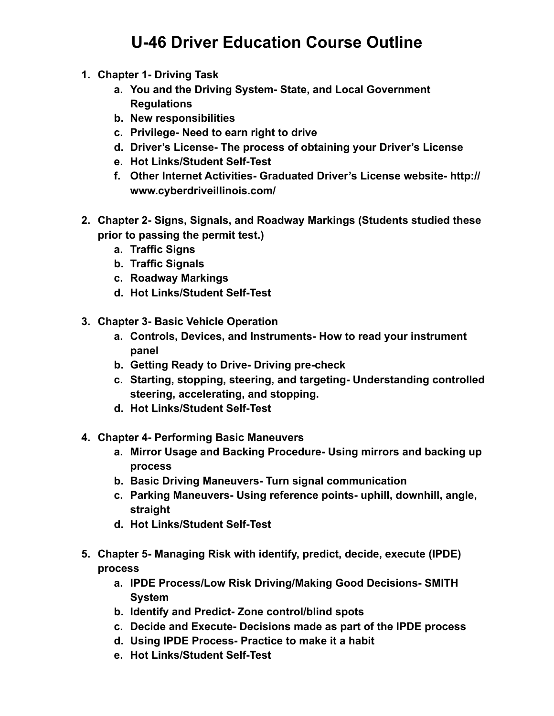## **U-46 Driver Education Course Outline**

- **1. Chapter 1- Driving Task** 
	- **a. You and the Driving System- State, and Local Government Regulations**
	- **b. New responsibilities**
	- **c. Privilege- Need to earn right to drive**
	- **d. Driver's License- The process of obtaining your Driver's License**
	- **e. Hot Links/Student Self-Test**
	- **f. Other Internet Activities- Graduated Driver's License website- http:// www.cyberdriveillinois.com/**
- **2. Chapter 2- Signs, Signals, and Roadway Markings (Students studied these prior to passing the permit test.)** 
	- **a. Traffic Signs**
	- **b. Traffic Signals**
	- **c. Roadway Markings**
	- **d. Hot Links/Student Self-Test**
- **3. Chapter 3- Basic Vehicle Operation** 
	- **a. Controls, Devices, and Instruments- How to read your instrument panel**
	- **b. Getting Ready to Drive- Driving pre-check**
	- **c. Starting, stopping, steering, and targeting- Understanding controlled steering, accelerating, and stopping.**
	- **d. Hot Links/Student Self-Test**
- **4. Chapter 4- Performing Basic Maneuvers** 
	- **a. Mirror Usage and Backing Procedure- Using mirrors and backing up process**
	- **b. Basic Driving Maneuvers- Turn signal communication**
	- **c. Parking Maneuvers- Using reference points- uphill, downhill, angle, straight**
	- **d. Hot Links/Student Self-Test**
- **5. Chapter 5- Managing Risk with identify, predict, decide, execute (IPDE) process** 
	- **a. IPDE Process/Low Risk Driving/Making Good Decisions- SMITH System**
	- **b. Identify and Predict- Zone control/blind spots**
	- **c. Decide and Execute- Decisions made as part of the IPDE process**
	- **d. Using IPDE Process- Practice to make it a habit**
	- **e. Hot Links/Student Self-Test**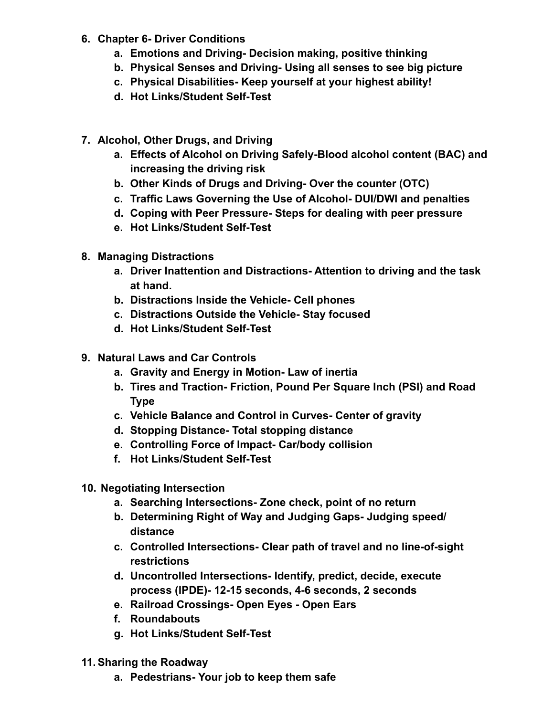- **6. Chapter 6- Driver Conditions** 
	- **a. Emotions and Driving- Decision making, positive thinking**
	- **b. Physical Senses and Driving- Using all senses to see big picture**
	- **c. Physical Disabilities- Keep yourself at your highest ability!**
	- **d. Hot Links/Student Self-Test**
- **7. Alcohol, Other Drugs, and Driving** 
	- **a. Effects of Alcohol on Driving Safely-Blood alcohol content (BAC) and increasing the driving risk**
	- **b. Other Kinds of Drugs and Driving- Over the counter (OTC)**
	- **c. Traffic Laws Governing the Use of Alcohol- DUI/DWI and penalties**
	- **d. Coping with Peer Pressure- Steps for dealing with peer pressure**
	- **e. Hot Links/Student Self-Test**
- **8. Managing Distractions** 
	- **a. Driver Inattention and Distractions- Attention to driving and the task at hand.**
	- **b. Distractions Inside the Vehicle- Cell phones**
	- **c. Distractions Outside the Vehicle- Stay focused**
	- **d. Hot Links/Student Self-Test**
- **9. Natural Laws and Car Controls** 
	- **a. Gravity and Energy in Motion- Law of inertia**
	- **b. Tires and Traction- Friction, Pound Per Square Inch (PSI) and Road Type**
	- **c. Vehicle Balance and Control in Curves- Center of gravity**
	- **d. Stopping Distance- Total stopping distance**
	- **e. Controlling Force of Impact- Car/body collision**
	- **f. Hot Links/Student Self-Test**
- **10. Negotiating Intersection** 
	- **a. Searching Intersections- Zone check, point of no return**
	- **b. Determining Right of Way and Judging Gaps- Judging speed/ distance**
	- **c. Controlled Intersections- Clear path of travel and no line-of-sight restrictions**
	- **d. Uncontrolled Intersections- Identify, predict, decide, execute process (IPDE)- 12-15 seconds, 4-6 seconds, 2 seconds**
	- **e. Railroad Crossings- Open Eyes Open Ears**
	- **f. Roundabouts**
	- **g. Hot Links/Student Self-Test**
- **11.Sharing the Roadway** 
	- **a. Pedestrians- Your job to keep them safe**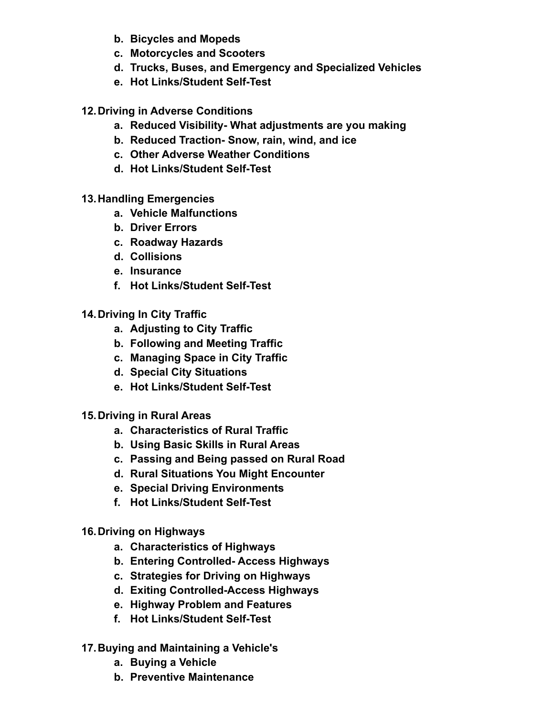- **b. Bicycles and Mopeds**
- **c. Motorcycles and Scooters**
- **d. Trucks, Buses, and Emergency and Specialized Vehicles**
- **e. Hot Links/Student Self-Test**
- **12.Driving in Adverse Conditions** 
	- **a. Reduced Visibility- What adjustments are you making**
	- **b. Reduced Traction- Snow, rain, wind, and ice**
	- **c. Other Adverse Weather Conditions**
	- **d. Hot Links/Student Self-Test**
- **13.Handling Emergencies** 
	- **a. Vehicle Malfunctions**
	- **b. Driver Errors**
	- **c. Roadway Hazards**
	- **d. Collisions**
	- **e. Insurance**
	- **f. Hot Links/Student Self-Test**
- **14.Driving In City Traffic** 
	- **a. Adjusting to City Traffic**
	- **b. Following and Meeting Traffic**
	- **c. Managing Space in City Traffic**
	- **d. Special City Situations**
	- **e. Hot Links/Student Self-Test**
- **15.Driving in Rural Areas** 
	- **a. Characteristics of Rural Traffic**
	- **b. Using Basic Skills in Rural Areas**
	- **c. Passing and Being passed on Rural Road**
	- **d. Rural Situations You Might Encounter**
	- **e. Special Driving Environments**
	- **f. Hot Links/Student Self-Test**
- **16.Driving on Highways** 
	- **a. Characteristics of Highways**
	- **b. Entering Controlled- Access Highways**
	- **c. Strategies for Driving on Highways**
	- **d. Exiting Controlled-Access Highways**
	- **e. Highway Problem and Features**
	- **f. Hot Links/Student Self-Test**
- **17.Buying and Maintaining a Vehicle's** 
	- **a. Buying a Vehicle**
	- **b. Preventive Maintenance**